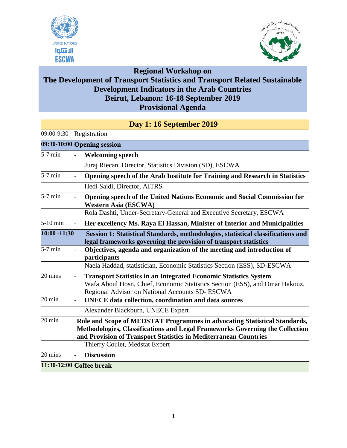



**Regional Workshop on**

## **The Development of Transport Statistics and Transport Related Sustainable Development Indicators in the Arab Countries Beirut, Lebanon: 16-18 September 2019 Provisional Agenda**

|                  | рау 1. то вершился 2012                                                                                                                                                                                                       |  |  |
|------------------|-------------------------------------------------------------------------------------------------------------------------------------------------------------------------------------------------------------------------------|--|--|
| 09:00-9:30       | Registration                                                                                                                                                                                                                  |  |  |
|                  | 09:30-10:00 Opening session                                                                                                                                                                                                   |  |  |
| $5-7$ min        | <b>Welcoming speech</b>                                                                                                                                                                                                       |  |  |
|                  | Juraj Riecan, Director, Statistics Division (SD), ESCWA                                                                                                                                                                       |  |  |
| $5-7$ min        | Opening speech of the Arab Institute for Training and Research in Statistics                                                                                                                                                  |  |  |
|                  | Hedi Saidi, Director, AITRS                                                                                                                                                                                                   |  |  |
| $5-7$ min        | Opening speech of the United Nations Economic and Social Commission for<br><b>Western Asia (ESCWA)</b>                                                                                                                        |  |  |
|                  | Rola Dashti, Under-Secretary-General and Executive Secretary, ESCWA                                                                                                                                                           |  |  |
| 5-10 min         | Her excellency Ms. Raya El Hassan, Minister of Interior and Municipalities                                                                                                                                                    |  |  |
| 10:00 -11:30     | Session 1: Statistical Standards, methodologies, statistical classifications and<br>legal frameworks governing the provision of transport statistics                                                                          |  |  |
| $5-7$ min        | Objectives, agenda and organization of the meeting and introduction of<br>participants                                                                                                                                        |  |  |
|                  | Naela Haddad, statistician, Economic Statistics Section (ESS), SD-ESCWA                                                                                                                                                       |  |  |
| 20 mins          | <b>Transport Statistics in an Integrated Economic Statistics System</b><br>Wafa Aboul Hosn, Chief, Economic Statistics Section (ESS), and Omar Hakouz,<br>Regional Advisor on National Accounts SD- ESCWA                     |  |  |
| $20 \text{ min}$ | <b>UNECE</b> data collection, coordination and data sources                                                                                                                                                                   |  |  |
|                  | Alexander Blackburn, UNECE Expert                                                                                                                                                                                             |  |  |
| $20 \text{ min}$ | Role and Scope of MEDSTAT Programmes in advocating Statistical Standards,<br>Methodologies, Classifications and Legal Frameworks Governing the Collection<br>and Provision of Transport Statistics in Mediterranean Countries |  |  |
|                  | Thierry Coulet, Medstat Expert                                                                                                                                                                                                |  |  |
| 20 mins          | <b>Discussion</b>                                                                                                                                                                                                             |  |  |
|                  | 11:30-12:00 Coffee break                                                                                                                                                                                                      |  |  |

## **Day 1: 16 September 2019**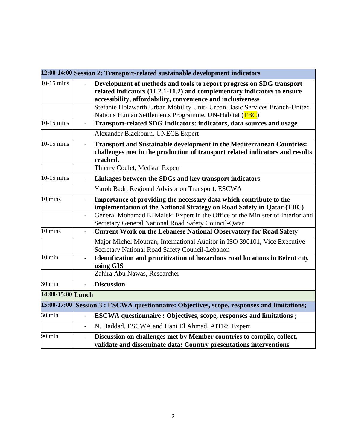|                   | 12:00-14:00 Session 2: Transport-related sustainable development indicators                                                                                                                                    |
|-------------------|----------------------------------------------------------------------------------------------------------------------------------------------------------------------------------------------------------------|
| 10-15 mins        | Development of methods and tools to report progress on SDG transport<br>related indicators (11.2.1-11.2) and complementary indicators to ensure<br>accessibility, affordability, convenience and inclusiveness |
|                   | Stefanie Holzwarth Urban Mobility Unit- Urban Basic Services Branch-United<br>Nations Human Settlements Programme, UN-Habitat (TBC)                                                                            |
| 10-15 mins        | Transport-related SDG Indicators: indicators, data sources and usage<br>$\sim$                                                                                                                                 |
|                   | Alexander Blackburn, UNECE Expert                                                                                                                                                                              |
| $10-15$ mins      | <b>Transport and Sustainable development in the Mediterranean Countries:</b><br>$\blacksquare$<br>challenges met in the production of transport related indicators and results<br>reached.                     |
|                   | Thierry Coulet, Medstat Expert                                                                                                                                                                                 |
| 10-15 mins        | Linkages between the SDGs and key transport indicators<br>$\frac{1}{2}$                                                                                                                                        |
|                   | Yarob Badr, Regional Advisor on Transport, ESCWA                                                                                                                                                               |
| 10 mins           | Importance of providing the necessary data which contribute to the<br>implementation of the National Strategy on Road Safety in Qatar (TBC)                                                                    |
|                   | General Mohamad El Maleki Expert in the Office of the Minister of Interior and<br>$\overline{\phantom{0}}$<br>Secretary General National Road Safety Council-Qatar                                             |
| 10 mins           | <b>Current Work on the Lebanese National Observatory for Road Safety</b><br>$\overline{a}$                                                                                                                     |
|                   | Major Michel Moutran, International Auditor in ISO 390101, Vice Executive<br>Secretary National Road Safety Council-Lebanon                                                                                    |
| 10 min            | Identification and prioritization of hazardous road locations in Beirut city<br>using GIS                                                                                                                      |
|                   | Zahira Abu Nawas, Researcher                                                                                                                                                                                   |
| 30 min            | <b>Discussion</b><br>$\overline{a}$                                                                                                                                                                            |
| 14:00-15:00 Lunch |                                                                                                                                                                                                                |
| 15:00-17:00       | Session 3 : ESCWA questionnaire: Objectives, scope, responses and limitations;                                                                                                                                 |
| 30 min            | <b>ESCWA</b> questionnaire : Objectives, scope, responses and limitations ;                                                                                                                                    |
|                   | N. Haddad, ESCWA and Hani El Ahmad, AITRS Expert<br>$\blacksquare$                                                                                                                                             |
| 90 min            | Discussion on challenges met by Member countries to compile, collect,<br>÷,<br>validate and disseminate data: Country presentations interventions                                                              |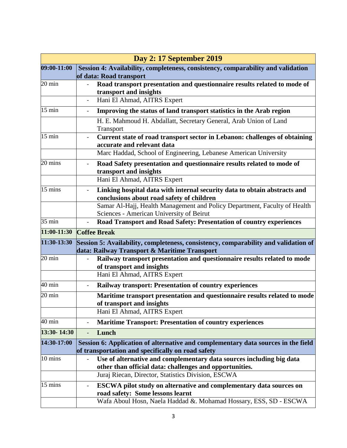| <b>Day 2: 17 September 2019</b> |                                                                                                                                        |  |
|---------------------------------|----------------------------------------------------------------------------------------------------------------------------------------|--|
| 09:00-11:00                     | Session 4: Availability, completeness, consistency, comparability and validation<br>of data: Road transport                            |  |
| $20 \text{ min}$                | Road transport presentation and questionnaire results related to mode of<br>transport and insights                                     |  |
|                                 | Hani El Ahmad, AITRS Expert                                                                                                            |  |
| $15 \text{ min}$                | Improving the status of land transport statistics in the Arab region                                                                   |  |
|                                 | H. E. Mahmoud H. Abdallatt, Secretary General, Arab Union of Land<br>Transport                                                         |  |
| $15 \text{ min}$                | Current state of road transport sector in Lebanon: challenges of obtaining<br>accurate and relevant data                               |  |
|                                 | Marc Haddad, School of Engineering, Lebanese American University                                                                       |  |
| 20 mins                         | Road Safety presentation and questionnaire results related to mode of<br>transport and insights                                        |  |
|                                 | Hani El Ahmad, AITRS Expert                                                                                                            |  |
| 15 mins                         | Linking hospital data with internal security data to obtain abstracts and<br>conclusions about road safety of children                 |  |
|                                 | Samar Al-Hajj, Health Management and Policy Department, Faculty of Health                                                              |  |
|                                 | Sciences - American University of Beirut                                                                                               |  |
| $\overline{35}$ min             | Road Transport and Road Safety: Presentation of country experiences                                                                    |  |
| 11:00-11:30                     | <b>Coffee Break</b>                                                                                                                    |  |
| $11:30-13:30$                   | Session 5: Availability, completeness, consistency, comparability and validation of                                                    |  |
|                                 |                                                                                                                                        |  |
|                                 | data: Railway Transport & Maritime Transport                                                                                           |  |
| $20 \text{ min}$                | Railway transport presentation and questionnaire results related to mode<br>of transport and insights                                  |  |
|                                 | Hani El Ahmad, AITRS Expert                                                                                                            |  |
| $40 \text{ min}$                | <b>Railway transport: Presentation of country experiences</b>                                                                          |  |
| $20 \text{ min}$                | Maritime transport presentation and questionnaire results related to mode<br>of transport and insights                                 |  |
|                                 | Hani El Ahmad, AITRS Expert                                                                                                            |  |
| $40 \text{ min}$                | <b>Maritime Transport: Presentation of country experiences</b><br>$\overline{\phantom{0}}$                                             |  |
| 13:30-14:30                     | Lunch                                                                                                                                  |  |
| 14:30-17:00                     | Session 6: Application of alternative and complementary data sources in the field<br>of transportation and specifically on road safety |  |
| $10 \text{ mins}$               | Use of alternative and complementary data sources including big data                                                                   |  |
|                                 | other than official data: challenges and opportunities.<br>Juraj Riecan, Director, Statistics Division, ESCWA                          |  |
| 15 mins                         | ESCWA pilot study on alternative and complementary data sources on<br>road safety: Some lessons learnt                                 |  |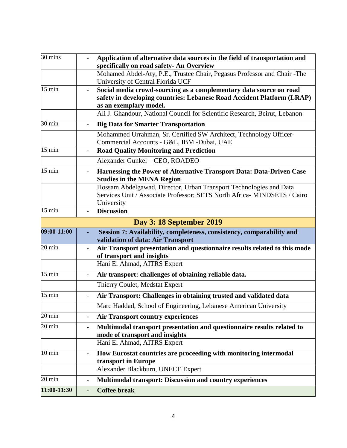| 30 mins                                        |                              | Application of alternative data sources in the field of transportation and<br>specifically on road safety- An Overview                                                                                                                               |
|------------------------------------------------|------------------------------|------------------------------------------------------------------------------------------------------------------------------------------------------------------------------------------------------------------------------------------------------|
|                                                |                              | Mohamed Abdel-Aty, P.E., Trustee Chair, Pegasus Professor and Chair -The<br>University of Central Florida UCF                                                                                                                                        |
| $15$ min                                       |                              | Social media crowd-sourcing as a complementary data source on road<br>safety in developing countries: Lebanese Road Accident Platform (LRAP)<br>as an exemplary model.<br>Ali J. Ghandour, National Council for Scientific Research, Beirut, Lebanon |
| 30 min                                         |                              | <b>Big Data for Smarter Transportation</b>                                                                                                                                                                                                           |
|                                                |                              | Mohammed Urrahman, Sr. Certified SW Architect, Technology Officer-<br>Commercial Accounts - G&L, IBM -Dubai, UAE                                                                                                                                     |
| $15 \text{ min}$                               |                              | <b>Road Quality Monitoring and Prediction</b>                                                                                                                                                                                                        |
|                                                |                              | Alexander Gunkel - CEO, ROADEO                                                                                                                                                                                                                       |
| $15 \text{ min}$                               |                              | Harnessing the Power of Alternative Transport Data: Data-Driven Case<br><b>Studies in the MENA Region</b>                                                                                                                                            |
|                                                |                              | Hossam Abdelgawad, Director, Urban Transport Technologies and Data<br>Services Unit / Associate Professor; SETS North Africa- MINDSETS / Cairo<br>University                                                                                         |
| $15 \text{ min}$                               |                              | <b>Discussion</b>                                                                                                                                                                                                                                    |
|                                                |                              | <b>Day 3: 18 September 2019</b>                                                                                                                                                                                                                      |
| 09:00-11:00                                    |                              | Session 7: Availability, completeness, consistency, comparability and<br>validation of data: Air Transport                                                                                                                                           |
| $20 \text{ min}$                               |                              | Air Transport presentation and questionnaire results related to this mode<br>of transport and insights                                                                                                                                               |
|                                                |                              | Hani El Ahmad, AITRS Expert                                                                                                                                                                                                                          |
| $15 \text{ min}$                               | $\qquad \qquad \blacksquare$ | Air transport: challenges of obtaining reliable data.                                                                                                                                                                                                |
|                                                |                              |                                                                                                                                                                                                                                                      |
|                                                |                              | Thierry Coulet, Medstat Expert                                                                                                                                                                                                                       |
| $15 \text{ min}$                               |                              | Air Transport: Challenges in obtaining trusted and validated data                                                                                                                                                                                    |
|                                                |                              | Marc Haddad, School of Engineering, Lebanese American University                                                                                                                                                                                     |
|                                                | $\blacksquare$               | <b>Air Transport country experiences</b>                                                                                                                                                                                                             |
|                                                |                              | Multimodal transport presentation and questionnaire results related to<br>mode of transport and insights                                                                                                                                             |
|                                                |                              | Hani El Ahmad, AITRS Expert                                                                                                                                                                                                                          |
| $20 \text{ min}$<br>20 min<br>$10 \text{ min}$ |                              | How Eurostat countries are proceeding with monitoring intermodal<br>transport in Europe                                                                                                                                                              |
|                                                |                              | Alexander Blackburn, UNECE Expert                                                                                                                                                                                                                    |
| 20 min                                         |                              | <b>Multimodal transport: Discussion and country experiences</b>                                                                                                                                                                                      |